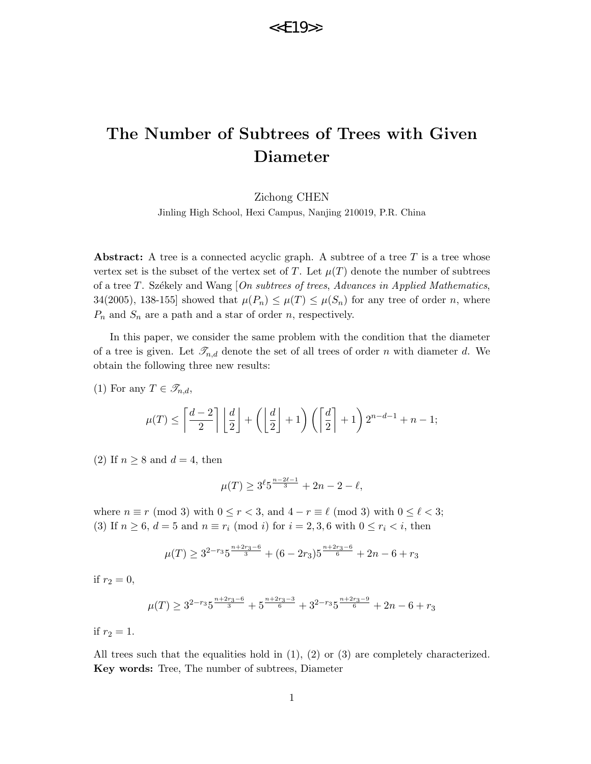# The Number of Subtrees of Trees with Given Diameter

Zichong CHEN

Jinling High School, Hexi Campus, Nanjing 210019, P.R. China

Abstract: A tree is a connected acyclic graph. A subtree of a tree  $T$  is a tree whose vertex set is the subset of the vertex set of T. Let  $\mu(T)$  denote the number of subtrees of a tree T. Székely and Wang  $[On\,subtrees, Advances\,in\,Applied\,Mathematics,$ 34(2005), 138-155] showed that  $\mu(P_n) \leq \mu(T) \leq \mu(S_n)$  for any tree of order n, where  $P_n$  and  $S_n$  are a path and a star of order n, respectively.

In this paper, we consider the same problem with the condition that the diameter of a tree is given. Let  $\mathcal{T}_{n,d}$  denote the set of all trees of order n with diameter d. We obtain the following three new results:

(1) For any  $T \in \mathscr{T}_{n,d}$ ,

$$
\mu(T) \le \left\lceil \frac{d-2}{2} \right\rceil \left\lfloor \frac{d}{2} \right\rfloor + \left( \left\lfloor \frac{d}{2} \right\rfloor + 1 \right) \left( \left\lceil \frac{d}{2} \right\rceil + 1 \right) 2^{n-d-1} + n - 1;
$$

(2) If  $n \geq 8$  and  $d = 4$ , then

$$
\mu(T) \ge 3^{\ell} 5^{\frac{n-2\ell-1}{3}} + 2n - 2 - \ell,
$$

where  $n \equiv r \pmod{3}$  with  $0 \le r < 3$ , and  $4 - r \equiv \ell \pmod{3}$  with  $0 \le \ell < 3$ ; (3) If  $n \geq 6$ ,  $d = 5$  and  $n \equiv r_i \pmod{i}$  for  $i = 2, 3, 6$  with  $0 \leq r_i \leq i$ , then

$$
\mu(T) \ge 3^{2-r_3} 5^{\frac{n+2r_3-6}{3}} + (6-2r_3) 5^{\frac{n+2r_3-6}{6}} + 2n - 6 + r_3
$$

if  $r_2 = 0$ ,

$$
\mu(T) \ge 3^{2-r_3} 5^{\frac{n+2r_3-6}{3}} + 5^{\frac{n+2r_3-3}{6}} + 3^{2-r_3} 5^{\frac{n+2r_3-9}{6}} + 2n - 6 + r_3
$$

if  $r_2 = 1$ .

All trees such that the equalities hold in  $(1)$ ,  $(2)$  or  $(3)$  are completely characterized. Key words: Tree, The number of subtrees, Diameter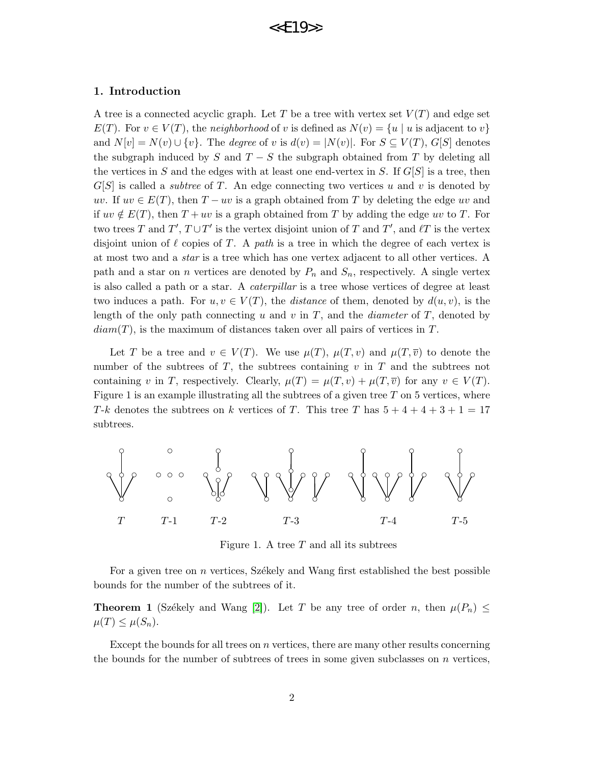#### 1. Introduction

A tree is a connected acyclic graph. Let T be a tree with vertex set  $V(T)$  and edge set  $E(T)$ . For  $v \in V(T)$ , the neighborhood of v is defined as  $N(v) = \{u \mid u$  is adjacent to v and  $N[v] = N(v) \cup \{v\}$ . The *degree* of v is  $d(v) = |N(v)|$ . For  $S \subseteq V(T)$ ,  $G[S]$  denotes the subgraph induced by S and  $T-S$  the subgraph obtained from T by deleting all the vertices in S and the edges with at least one end-vertex in S. If  $G[S]$  is a tree, then  $G[S]$  is called a *subtree* of T. An edge connecting two vertices u and v is denoted by uv. If  $uv \in E(T)$ , then  $T - uv$  is a graph obtained from T by deleting the edge uv and if  $uv \notin E(T)$ , then  $T + uv$  is a graph obtained from T by adding the edge uv to T. For two trees T and  $T'$ ,  $T \cup T'$  is the vertex disjoint union of T and T', and  $\ell T$  is the vertex disjoint union of  $\ell$  copies of T. A path is a tree in which the degree of each vertex is at most two and a star is a tree which has one vertex adjacent to all other vertices. A path and a star on n vertices are denoted by  $P_n$  and  $S_n$ , respectively. A single vertex is also called a path or a star. A caterpillar is a tree whose vertices of degree at least two induces a path. For  $u, v \in V(T)$ , the *distance* of them, denoted by  $d(u, v)$ , is the length of the only path connecting u and v in  $T$ , and the *diameter* of  $T$ , denoted by  $diam(T)$ , is the maximum of distances taken over all pairs of vertices in T.

Let T be a tree and  $v \in V(T)$ . We use  $\mu(T)$ ,  $\mu(T,v)$  and  $\mu(T,\overline{v})$  to denote the number of the subtrees of  $T$ , the subtrees containing  $v$  in  $T$  and the subtrees not containing v in T, respectively. Clearly,  $\mu(T) = \mu(T, v) + \mu(T, \overline{v})$  for any  $v \in V(T)$ . Figure 1 is an example illustrating all the subtrees of a given tree  $T$  on 5 vertices, where T-k denotes the subtrees on k vertices of T. This tree T has  $5+4+4+3+1=17$ subtrees.



Figure 1. A tree  $T$  and all its subtrees

For a given tree on  $n$  vertices, Székely and Wang first established the best possible bounds for the number of the subtrees of it.

**Theorem 1** (Székely and Wang [\[2\]](#page-15-0)). Let T be any tree of order n, then  $\mu(P_n) \leq$  $\mu(T) \leq \mu(S_n).$ 

Except the bounds for all trees on  $n$  vertices, there are many other results concerning the bounds for the number of subtrees of trees in some given subclasses on  $n$  vertices,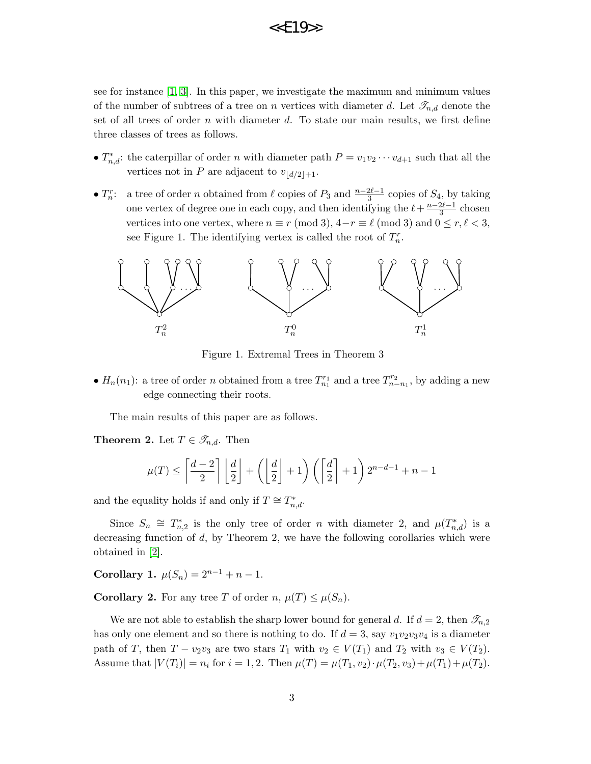see for instance [\[1,](#page-15-1) [3\]](#page-15-2). In this paper, we investigate the maximum and minimum values of the number of subtrees of a tree on n vertices with diameter d. Let  $\mathscr{T}_{n,d}$  denote the set of all trees of order  $n$  with diameter  $d$ . To state our main results, we first define three classes of trees as follows.

- $T_{n,d}^*$ : the caterpillar of order n with diameter path  $P = v_1v_2\cdots v_{d+1}$  such that all the vertices not in P are adjacent to  $v_{\lfloor d/2 \rfloor+1}$ .
- $\bullet$   $T_n^r$ : a tree of order *n* obtained from  $\ell$  copies of  $P_3$  and  $\frac{n-2\ell-1}{3}$  copies of  $S_4$ , by taking one vertex of degree one in each copy, and then identifying the  $\ell + \frac{n-2\ell-1}{3}$  $rac{2\ell-1}{3}$  chosen vertices into one vertex, where  $n \equiv r \pmod{3}$ ,  $4-r \equiv \ell \pmod{3}$  and  $0 \le r, \ell < 3$ , see Figure 1. The identifying vertex is called the root of  $T_n^r$ .



Figure 1. Extremal Trees in Theorem 3

•  $H_n(n_1)$ : a tree of order *n* obtained from a tree  $T_{n_1}^{r_1}$  and a tree  $T_{n-n_1}^{r_2}$ , by adding a new edge connecting their roots.

The main results of this paper are as follows.

**Theorem 2.** Let  $T \in \mathscr{T}_{n,d}$ . Then

$$
\mu(T) \le \left\lceil \frac{d-2}{2} \right\rceil \left\lfloor \frac{d}{2} \right\rfloor + \left( \left\lfloor \frac{d}{2} \right\rfloor + 1 \right) \left( \left\lceil \frac{d}{2} \right\rceil + 1 \right) 2^{n-d-1} + n - 1
$$

and the equality holds if and only if  $T \cong T_{n,d}^*$ .

Since  $S_n \cong T_{n,2}^*$  is the only tree of order n with diameter 2, and  $\mu(T_{n,d}^*)$  is a decreasing function of  $d$ , by Theorem 2, we have the following corollaries which were obtained in [\[2\]](#page-15-0).

Corollary 1.  $\mu(S_n) = 2^{n-1} + n - 1$ .

**Corollary 2.** For any tree T of order  $n, \mu(T) \leq \mu(S_n)$ .

We are not able to establish the sharp lower bound for general d. If  $d = 2$ , then  $\mathcal{I}_{n,2}$ has only one element and so there is nothing to do. If  $d = 3$ , say  $v_1v_2v_3v_4$  is a diameter path of T, then  $T - v_2v_3$  are two stars  $T_1$  with  $v_2 \in V(T_1)$  and  $T_2$  with  $v_3 \in V(T_2)$ . Assume that  $|V(T_i)| = n_i$  for  $i = 1, 2$ . Then  $\mu(T) = \mu(T_1, v_2) \cdot \mu(T_2, v_3) + \mu(T_1) + \mu(T_2)$ .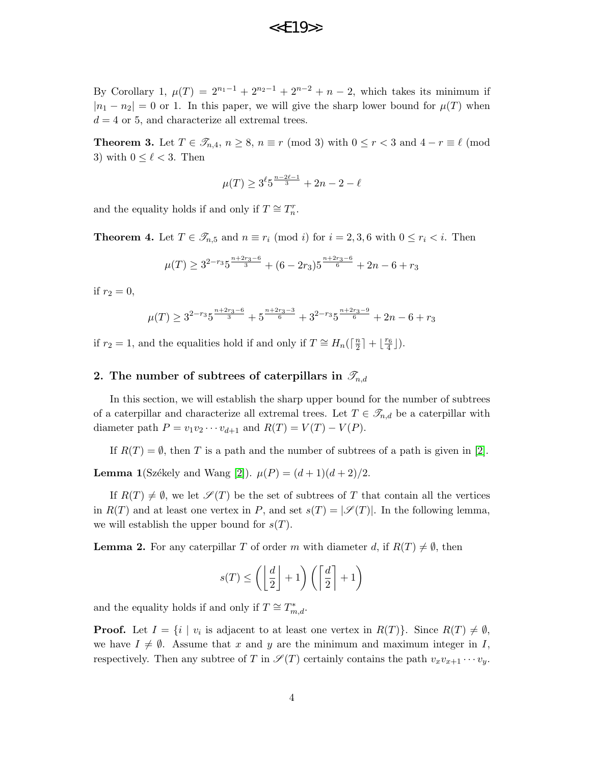### $<<$  $F19$ >>

By Corollary 1,  $\mu(T) = 2^{n_1-1} + 2^{n_2-1} + 2^{n-2} + n - 2$ , which takes its minimum if  $|n_1 - n_2| = 0$  or 1. In this paper, we will give the sharp lower bound for  $\mu(T)$  when  $d = 4$  or 5, and characterize all extremal trees.

**Theorem 3.** Let  $T \in \mathcal{T}_{n,4}$ ,  $n \ge 8$ ,  $n \equiv r \pmod{3}$  with  $0 \le r < 3$  and  $4 - r \equiv \ell \pmod{3}$ 3) with  $0 \leq \ell < 3$ . Then

$$
\mu(T) \ge 3^{\ell} 5^{\frac{n-2\ell-1}{3}} + 2n - 2 - \ell
$$

and the equality holds if and only if  $T \cong T_n^r$ .

**Theorem 4.** Let  $T \in \mathscr{T}_{n,5}$  and  $n \equiv r_i \pmod{i}$  for  $i = 2, 3, 6$  with  $0 \le r_i < i$ . Then

$$
\mu(T) \ge 3^{2-r_3} 5^{\frac{n+2r_3-6}{3}} + (6-2r_3) 5^{\frac{n+2r_3-6}{6}} + 2n - 6 + r_3
$$

if  $r_2 = 0$ ,

$$
\mu(T) \ge 3^{2-r_3} 5^{\frac{n+2r_3-6}{3}} + 5^{\frac{n+2r_3-3}{6}} + 3^{2-r_3} 5^{\frac{n+2r_3-9}{6}} + 2n - 6 + r_3
$$

if  $r_2 = 1$ , and the equalities hold if and only if  $T \cong H_n\left(\frac{r_2}{r_1}\right)$  $\frac{n}{2}$  | +  $\lfloor \frac{r_6}{4} \rfloor$ ).

#### 2. The number of subtrees of caterpillars in  $\mathscr{T}_{n,d}$

In this section, we will establish the sharp upper bound for the number of subtrees of a caterpillar and characterize all extremal trees. Let  $T \in \mathscr{T}_{n,d}$  be a caterpillar with diameter path  $P = v_1v_2\cdots v_{d+1}$  and  $R(T) = V(T) - V(P)$ .

If  $R(T) = \emptyset$ , then T is a path and the number of subtrees of a path is given in [\[2\]](#page-15-0).

**Lemma 1**(Székely and Wang [\[2\]](#page-15-0)).  $\mu(P) = (d+1)(d+2)/2$ .

If  $R(T) \neq \emptyset$ , we let  $\mathscr{S}(T)$  be the set of subtrees of T that contain all the vertices in  $R(T)$  and at least one vertex in P, and set  $s(T) = |\mathscr{S}(T)|$ . In the following lemma, we will establish the upper bound for  $s(T)$ .

**Lemma 2.** For any caterpillar T of order m with diameter d, if  $R(T) \neq \emptyset$ , then

$$
s(T) \le \left( \left\lfloor \frac{d}{2} \right\rfloor + 1 \right) \left( \left\lceil \frac{d}{2} \right\rceil + 1 \right)
$$

and the equality holds if and only if  $T \cong T^*_{m,d}$ .

**Proof.** Let  $I = \{i \mid v_i \text{ is adjacent to at least one vertex in } R(T)\}.$  Since  $R(T) \neq \emptyset$ , we have  $I \neq \emptyset$ . Assume that x and y are the minimum and maximum integer in I, respectively. Then any subtree of T in  $\mathscr{S}(T)$  certainly contains the path  $v_xv_{x+1}\cdots v_y$ .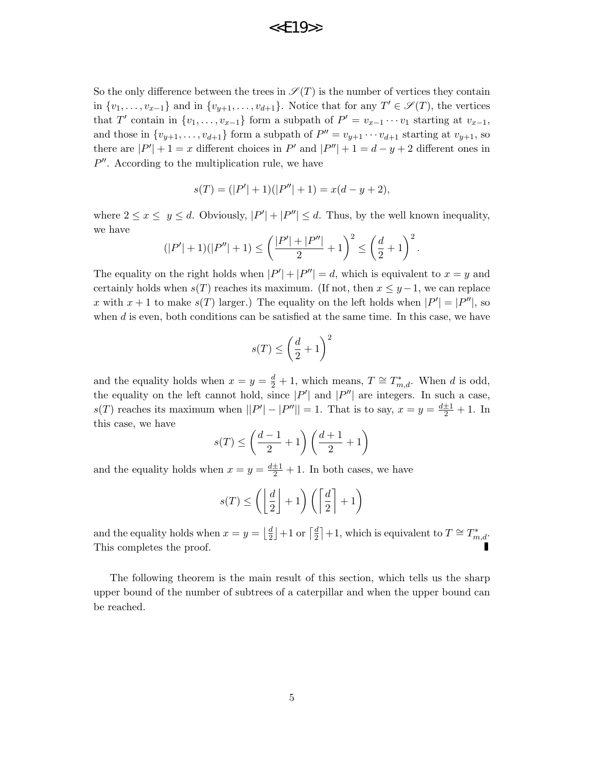# $<<$  $F19$ >>

So the only difference between the trees in  $\mathscr{S}(T)$  is the number of vertices they contain in  $\{v_1, \ldots, v_{x-1}\}\$  and in  $\{v_{y+1}, \ldots, v_{d+1}\}\$ . Notice that for any  $T' \in \mathscr{S}(T)$ , the vertices that T' contain in  $\{v_1, \ldots, v_{x-1}\}$  form a subpath of  $P' = v_{x-1} \cdots v_1$  starting at  $v_{x-1}$ , and those in  $\{v_{y+1}, \ldots, v_{d+1}\}$  form a subpath of  $P'' = v_{y+1} \cdots v_{d+1}$  starting at  $v_{y+1}$ , so there are  $|P'| + 1 = x$  different choices in P' and  $|P''| + 1 = d - y + 2$  different ones in  $P''$ . According to the multiplication rule, we have

$$
s(T) = (|P'| + 1)(|P''| + 1) = x(d - y + 2),
$$

where  $2 \le x \le y \le d$ . Obviously,  $|P'| + |P''| \le d$ . Thus, by the well known inequality, we have

$$
(|P'|+1)(|P''|+1) \le \left(\frac{|P'|+|P''|}{2}+1\right)^2 \le \left(\frac{d}{2}+1\right)^2.
$$

The equality on the right holds when  $|P'| + |P''| = d$ , which is equivalent to  $x = y$  and certainly holds when  $s(T)$  reaches its maximum. (If not, then  $x \leq y-1$ , we can replace x with  $x + 1$  to make  $s(T)$  larger.) The equality on the left holds when  $|P'| = |P''|$ , so when  $d$  is even, both conditions can be satisfied at the same time. In this case, we have

$$
s(T) \le \left(\frac{d}{2} + 1\right)^2
$$

and the equality holds when  $x = y = \frac{d}{2} + 1$ , which means,  $T \cong T_{m,d}^*$ . When d is odd, the equality on the left cannot hold, since  $|P'|$  and  $|P''|$  are integers. In such a case,  $s(T)$  reaches its maximum when  $||P'|-|P''||=1$ . That is to say,  $x=y=\frac{d\pm 1}{2}+1$ . In this case, we have

$$
s(T) \le \left(\frac{d-1}{2} + 1\right) \left(\frac{d+1}{2} + 1\right)
$$

and the equality holds when  $x = y = \frac{d+1}{2} + 1$ . In both cases, we have

$$
s(T) \le \left( \left\lfloor \frac{d}{2} \right\rfloor + 1 \right) \left( \left\lceil \frac{d}{2} \right\rceil + 1 \right)
$$

and the equality holds when  $x = y = \frac{d}{dx}$  $\frac{d}{2}$  +1 or  $\lceil \frac{d}{2}$  $\frac{d}{2}$  +1, which is equivalent to  $T \cong T^*_{m,d}$ . This completes the proof.

The following theorem is the main result of this section, which tells us the sharp upper bound of the number of subtrees of a caterpillar and when the upper bound can be reached.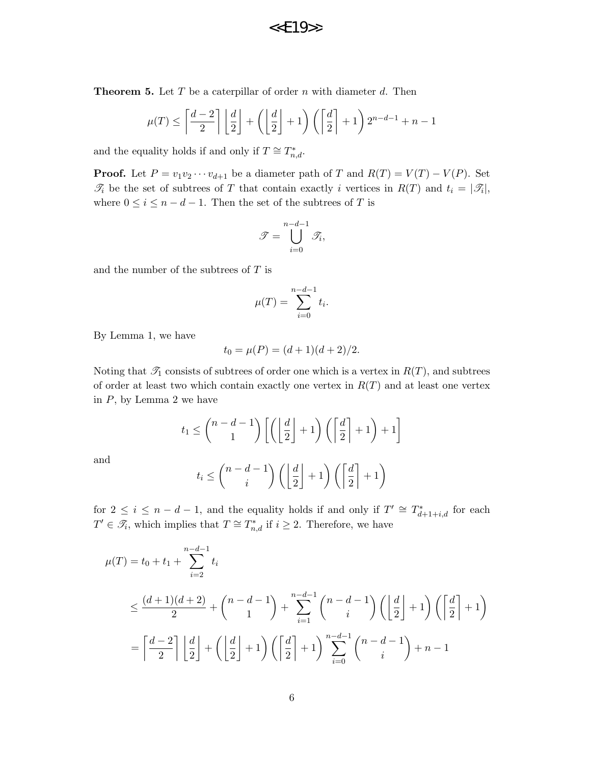**Theorem 5.** Let  $T$  be a caterpillar of order  $n$  with diameter  $d$ . Then

$$
\mu(T) \le \left\lceil \frac{d-2}{2} \right\rceil \left\lfloor \frac{d}{2} \right\rfloor + \left( \left\lfloor \frac{d}{2} \right\rfloor + 1 \right) \left( \left\lceil \frac{d}{2} \right\rceil + 1 \right) 2^{n-d-1} + n - 1
$$

and the equality holds if and only if  $T \cong T_{n,d}^*$ .

**Proof.** Let  $P = v_1v_2 \cdots v_{d+1}$  be a diameter path of T and  $R(T) = V(T) - V(P)$ . Set  $\mathcal{T}_i$  be the set of subtrees of T that contain exactly i vertices in  $R(T)$  and  $t_i = |\mathcal{T}_i|$ , where  $0 \leq i \leq n-d-1$ . Then the set of the subtrees of T is

$$
\mathcal{T} = \bigcup_{i=0}^{n-d-1} \mathcal{T}_i,
$$

and the number of the subtrees of  $T$  is

$$
\mu(T) = \sum_{i=0}^{n-d-1} t_i.
$$

By Lemma 1, we have

$$
t_0 = \mu(P) = (d+1)(d+2)/2.
$$

Noting that  $\mathcal{T}_1$  consists of subtrees of order one which is a vertex in  $R(T)$ , and subtrees of order at least two which contain exactly one vertex in  $R(T)$  and at least one vertex in  $P$ , by Lemma 2 we have

$$
t_1 \le \binom{n-d-1}{1} \left[ \left( \left\lfloor \frac{d}{2} \right\rfloor + 1 \right) \left( \left\lceil \frac{d}{2} \right\rceil + 1 \right) + 1 \right]
$$

and

$$
t_i \leq {n-d-1 \choose i} \left( \left\lfloor \frac{d}{2} \right\rfloor + 1 \right) \left( \left\lceil \frac{d}{2} \right\rceil + 1 \right)
$$

for  $2 \leq i \leq n - d - 1$ , and the equality holds if and only if  $T' \cong T_{d+1+i,d}^*$  for each  $T' \in \mathscr{T}_i$ , which implies that  $T \cong T^*_{n,d}$  if  $i \geq 2$ . Therefore, we have

$$
\mu(T) = t_0 + t_1 + \sum_{i=2}^{n-d-1} t_i
$$
\n
$$
\leq \frac{(d+1)(d+2)}{2} + {n-d-1 \choose 1} + \sum_{i=1}^{n-d-1} {n-d-1 \choose i} \left( \left\lfloor \frac{d}{2} \right\rfloor + 1 \right) \left( \left\lceil \frac{d}{2} \right\rceil + 1 \right)
$$
\n
$$
= \left\lceil \frac{d-2}{2} \right\rceil \left\lfloor \frac{d}{2} \right\rfloor + \left( \left\lfloor \frac{d}{2} \right\rfloor + 1 \right) \left( \left\lceil \frac{d}{2} \right\rceil + 1 \right) \sum_{i=0}^{n-d-1} {n-d-1 \choose i} + n - 1
$$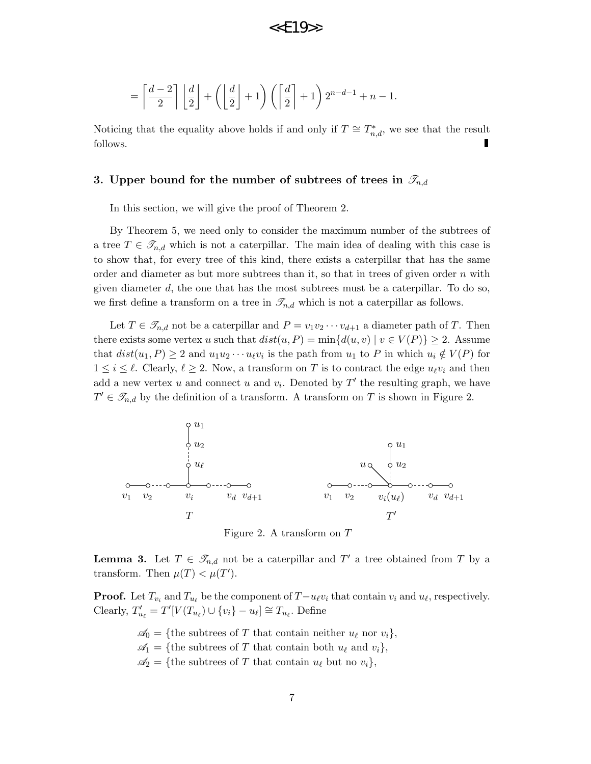$$
= \left\lceil \frac{d-2}{2} \right\rceil \left\lfloor \frac{d}{2} \right\rfloor + \left( \left\lfloor \frac{d}{2} \right\rfloor + 1 \right) \left( \left\lceil \frac{d}{2} \right\rceil + 1 \right) 2^{n-d-1} + n - 1.
$$

Noticing that the equality above holds if and only if  $T \cong T^*_{n,d}$ , we see that the result П follows.

#### 3. Upper bound for the number of subtrees of trees in  $\mathscr{T}_{n,d}$

In this section, we will give the proof of Theorem 2.

By Theorem 5, we need only to consider the maximum number of the subtrees of a tree  $T \in \mathscr{T}_{n,d}$  which is not a caterpillar. The main idea of dealing with this case is to show that, for every tree of this kind, there exists a caterpillar that has the same order and diameter as but more subtrees than it, so that in trees of given order  $n$  with given diameter  $d$ , the one that has the most subtrees must be a caterpillar. To do so, we first define a transform on a tree in  $\mathcal{T}_{n,d}$  which is not a caterpillar as follows.

Let  $T \in \mathscr{T}_{n,d}$  not be a caterpillar and  $P = v_1v_2\cdots v_{d+1}$  a diameter path of T. Then there exists some vertex u such that  $dist(u, P) = \min\{d(u, v) | v \in V(P)\} \geq 2$ . Assume that  $dist(u_1, P) \ge 2$  and  $u_1 u_2 \cdots u_\ell v_i$  is the path from  $u_1$  to P in which  $u_i \notin V(P)$  for  $1 \leq i \leq \ell$ . Clearly,  $\ell \geq 2$ . Now, a transform on T is to contract the edge  $u_{\ell}v_i$  and then add a new vertex u and connect u and  $v_i$ . Denoted by  $T'$  the resulting graph, we have  $T' \in \mathscr{T}_{n,d}$  by the definition of a transform. A transform on T is shown in Figure 2.



Figure 2. A transform on T

**Lemma 3.** Let  $T \in \mathcal{T}_{n,d}$  not be a caterpillar and  $T'$  a tree obtained from T by a transform. Then  $\mu(T) < \mu(T')$ .

**Proof.** Let  $T_{v_i}$  and  $T_{u_\ell}$  be the component of  $T-u_\ell v_i$  that contain  $v_i$  and  $u_\ell$ , respectively. Clearly,  $T'_{u_\ell} = T'[V(T_{u_\ell}) \cup \{v_i\} - u_\ell] \cong T_{u_\ell}$ . Define

> $\mathscr{A}_0 = \{\text{the subtrees of } T \text{ that contain neither } u_\ell \text{ nor } v_i\},\$  $\mathcal{A}_1 = \{\text{the subtrees of } T \text{ that contain both } u_\ell \text{ and } v_i\},\$  $\mathscr{A}_2$  = {the subtrees of T that contain  $u_\ell$  but no  $v_i$ },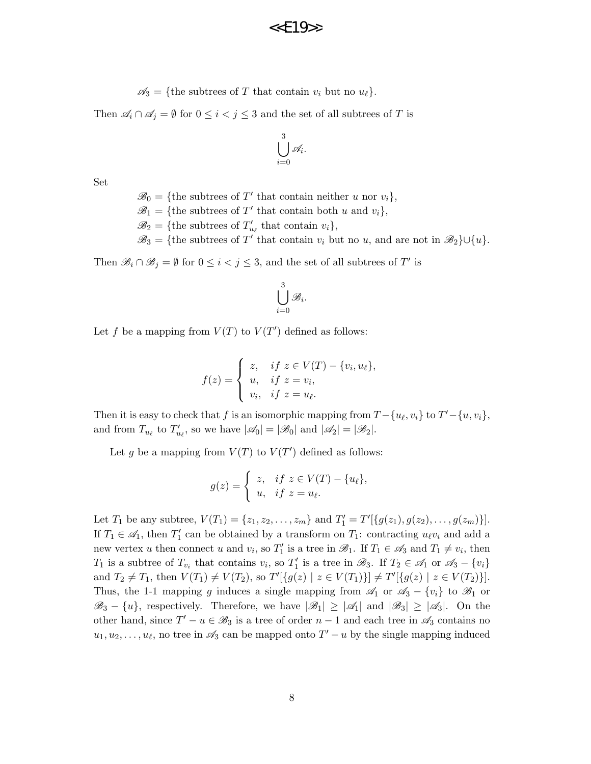$\mathscr{A}_3 = \{\text{the subtrees of } T \text{ that contain } v_i \text{ but no } u_\ell\}.$ 

Then  $\mathscr{A}_i \cap \mathscr{A}_j = \emptyset$  for  $0 \leq i < j \leq 3$  and the set of all subtrees of T is

$$
\bigcup_{i=0}^3 \mathscr{A}_i.
$$

Set

 $\mathscr{B}_0 = \{$ the subtrees of T' that contain neither u nor  $v_i\},$ 

 $\mathscr{B}_1 = \{\text{the subtrees of } T' \text{ that contain both } u \text{ and } v_i\},\$ 

 $\mathscr{B}_2 = \{\text{the subtrees of } T'_{u_\ell} \text{ that contain } v_i\},\$ 

 $\mathscr{B}_3 = \{$ the subtrees of T' that contain  $v_i$  but no u, and are not in  $\mathscr{B}_2\} \cup \{u\}.$ 

Then  $\mathscr{B}_i \cap \mathscr{B}_j = \emptyset$  for  $0 \leq i < j \leq 3$ , and the set of all subtrees of  $T'$  is

$$
\bigcup_{i=0}^3 \mathscr{B}_i.
$$

Let f be a mapping from  $V(T)$  to  $V(T')$  defined as follows:

$$
f(z) = \begin{cases} z, & if \ z \in V(T) - \{v_i, u_\ell\}, \\ u, & if \ z = v_i, \\ v_i, & if \ z = u_\ell. \end{cases}
$$

Then it is easy to check that f is an isomorphic mapping from  $T - \{u_{\ell}, v_i\}$  to  $T' - \{u, v_i\}$ , and from  $T_{u_\ell}$  to  $T'_{u_\ell}$ , so we have  $|\mathscr{A}_0| = |\mathscr{B}_0|$  and  $|\mathscr{A}_2| = |\mathscr{B}_2|$ .

Let g be a mapping from  $V(T)$  to  $V(T')$  defined as follows:

$$
g(z) = \begin{cases} z, & \text{if } z \in V(T) - \{u_{\ell}\}, \\ u, & \text{if } z = u_{\ell}. \end{cases}
$$

Let  $T_1$  be any subtree,  $V(T_1) = \{z_1, z_2, \ldots, z_m\}$  and  $T'_1 = T'[\{g(z_1), g(z_2), \ldots, g(z_m)\}].$ If  $T_1 \in \mathcal{A}_1$ , then  $T_1'$  can be obtained by a transform on  $T_1$ : contracting  $u_\ell v_i$  and add a new vertex u then connect u and  $v_i$ , so  $T'_1$  is a tree in  $\mathscr{B}_1$ . If  $T_1 \in \mathscr{A}_3$  and  $T_1 \neq v_i$ , then  $T_1$  is a subtree of  $T_{v_i}$  that contains  $v_i$ , so  $T_1'$  is a tree in  $\mathscr{B}_3$ . If  $T_2 \in \mathscr{A}_1$  or  $\mathscr{A}_3 - \{v_i\}$ and  $T_2 \neq T_1$ , then  $V(T_1) \neq V(T_2)$ , so  $T'[\{g(z) | z \in V(T_1)\}] \neq T'[\{g(z) | z \in V(T_2)\}].$ Thus, the 1-1 mapping g induces a single mapping from  $\mathscr{A}_1$  or  $\mathscr{A}_3 - \{v_i\}$  to  $\mathscr{B}_1$  or  $\mathscr{B}_3 - \{u\}$ , respectively. Therefore, we have  $|\mathscr{B}_1| \geq |\mathscr{A}_1|$  and  $|\mathscr{B}_3| \geq |\mathscr{A}_3|$ . On the other hand, since  $T' - u \in \mathcal{B}_3$  is a tree of order  $n - 1$  and each tree in  $\mathcal{A}_3$  contains no  $u_1, u_2, \ldots, u_{\ell}$ , no tree in  $\mathscr{A}_3$  can be mapped onto  $T' - u$  by the single mapping induced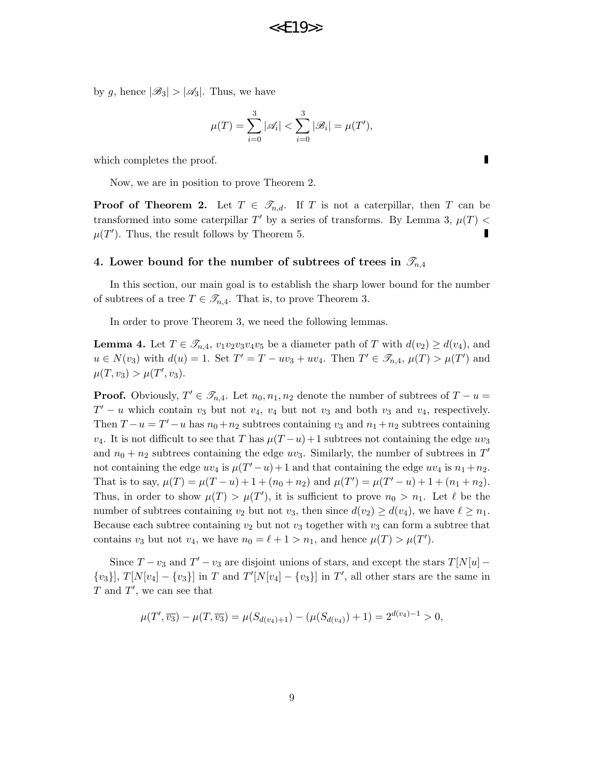by g, hence  $|\mathscr{B}_3| > |\mathscr{A}_3|$ . Thus, we have

$$
\mu(T) = \sum_{i=0}^{3} |\mathcal{A}_i| < \sum_{i=0}^{3} |\mathcal{B}_i| = \mu(T'),
$$

which completes the proof.

Now, we are in position to prove Theorem 2.

**Proof of Theorem 2.** Let  $T \in \mathscr{T}_{n,d}$ . If T is not a caterpillar, then T can be transformed into some caterpillar T' by a series of transforms. By Lemma 3,  $\mu(T)$  <  $\mu(T')$ . Thus, the result follows by Theorem 5. П

#### 4. Lower bound for the number of subtrees of trees in  $\mathcal{I}_{n,4}$

In this section, our main goal is to establish the sharp lower bound for the number of subtrees of a tree  $T \in \mathscr{T}_{n,4}$ . That is, to prove Theorem 3.

In order to prove Theorem 3, we need the following lemmas.

**Lemma 4.** Let  $T \in \mathscr{T}_{n,4}$ ,  $v_1v_2v_3v_4v_5$  be a diameter path of T with  $d(v_2) \geq d(v_4)$ , and  $u \in N(v_3)$  with  $d(u) = 1$ . Set  $T' = T - uv_3 + uv_4$ . Then  $T' \in \mathscr{T}_{n,4}$ ,  $\mu(T) > \mu(T')$  and  $\mu(T, v_3) > \mu(T', v_3).$ 

**Proof.** Obviously,  $T' \in \mathscr{T}_{n,4}$ . Let  $n_0, n_1, n_2$  denote the number of subtrees of  $T - u =$  $T' - u$  which contain  $v_3$  but not  $v_4$ ,  $v_4$  but not  $v_3$  and both  $v_3$  and  $v_4$ , respectively. Then  $T - u = T' - u$  has  $n_0 + n_2$  subtrees containing  $v_3$  and  $n_1 + n_2$  subtrees containing  $v_4$ . It is not difficult to see that T has  $\mu(T-u)+1$  subtrees not containing the edge  $uv_3$ and  $n_0 + n_2$  subtrees containing the edge  $uv_3$ . Similarly, the number of subtrees in  $T'$ not containing the edge  $uv_4$  is  $\mu(T'-u)+1$  and that containing the edge  $uv_4$  is  $n_1+n_2$ . That is to say,  $\mu(T) = \mu(T - u) + 1 + (n_0 + n_2)$  and  $\mu(T') = \mu(T' - u) + 1 + (n_1 + n_2)$ . Thus, in order to show  $\mu(T) > \mu(T')$ , it is sufficient to prove  $n_0 > n_1$ . Let  $\ell$  be the number of subtrees containing  $v_2$  but not  $v_3$ , then since  $d(v_2) \geq d(v_4)$ , we have  $\ell \geq n_1$ . Because each subtree containing  $v_2$  but not  $v_3$  together with  $v_3$  can form a subtree that contains  $v_3$  but not  $v_4$ , we have  $n_0 = \ell + 1 > n_1$ , and hence  $\mu(T) > \mu(T')$ .

Since  $T - v_3$  and  $T' - v_3$  are disjoint unions of stars, and except the stars  $T[N[u] {v_3}, T[N[v_4] - \{v_3\}]$  in T and  $T'[N[v_4] - \{v_3\}]$  in T', all other stars are the same in  $T$  and  $T'$ , we can see that

$$
\mu(T', \overline{v_3}) - \mu(T, \overline{v_3}) = \mu(S_{d(v_4)+1}) - (\mu(S_{d(v_4)}) + 1) = 2^{d(v_4)-1} > 0,
$$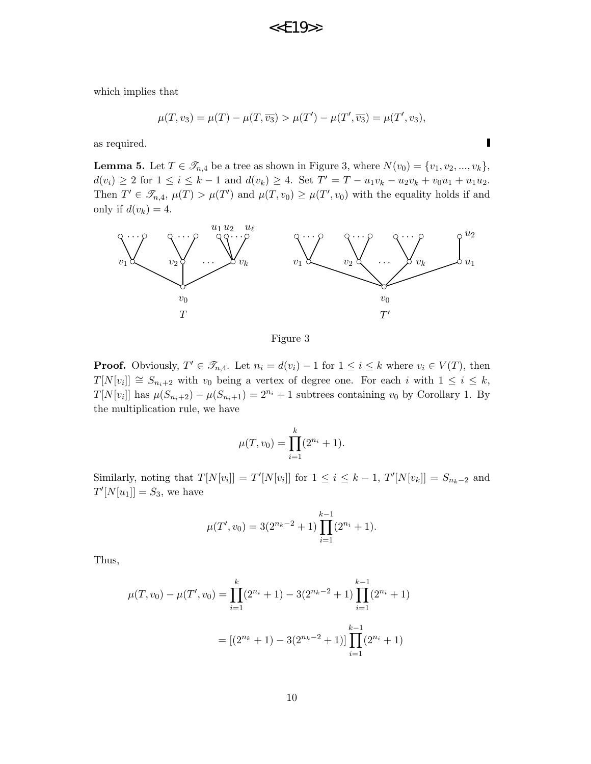which implies that

$$
\mu(T, v_3) = \mu(T) - \mu(T, \overline{v_3}) > \mu(T') - \mu(T', \overline{v_3}) = \mu(T', v_3),
$$

 $\blacksquare$ 

as required.

**Lemma 5.** Let  $T \in \mathcal{T}_{n,4}$  be a tree as shown in Figure 3, where  $N(v_0) = \{v_1, v_2, ..., v_k\},\$  $d(v_i) \geq 2$  for  $1 \leq i \leq k-1$  and  $d(v_k) \geq 4$ . Set  $T' = T - u_1v_k - u_2v_k + v_0u_1 + u_1u_2$ . Then  $T' \in \mathscr{T}_{n,4}$ ,  $\mu(T) > \mu(T')$  and  $\mu(T,v_0) \geq \mu(T',v_0)$  with the equality holds if and only if  $d(v_k) = 4$ .



Figure 3

**Proof.** Obviously,  $T' \in \mathcal{T}_{n,4}$ . Let  $n_i = d(v_i) - 1$  for  $1 \leq i \leq k$  where  $v_i \in V(T)$ , then  $T[N[v_i]] \cong S_{n_i+2}$  with  $v_0$  being a vertex of degree one. For each i with  $1 \leq i \leq k$ ,  $T[N[v_i]]$  has  $\mu(S_{n_i+2}) - \mu(S_{n_i+1}) = 2^{n_i} + 1$  subtrees containing  $v_0$  by Corollary 1. By the multiplication rule, we have

$$
\mu(T, v_0) = \prod_{i=1}^k (2^{n_i} + 1).
$$

Similarly, noting that  $T[N[v_i]] = T'[N[v_i]]$  for  $1 \le i \le k-1$ ,  $T'[N[v_k]] = S_{n_k-2}$  and  $T'[N[u_1]] = S_3$ , we have

$$
\mu(T', v_0) = 3(2^{n_k - 2} + 1) \prod_{i=1}^{k-1} (2^{n_i} + 1).
$$

Thus,

$$
\mu(T, v_0) - \mu(T', v_0) = \prod_{i=1}^k (2^{n_i} + 1) - 3(2^{n_k - 2} + 1) \prod_{i=1}^{k-1} (2^{n_i} + 1)
$$

$$
= [(2^{n_k} + 1) - 3(2^{n_k - 2} + 1)] \prod_{i=1}^{k-1} (2^{n_i} + 1)
$$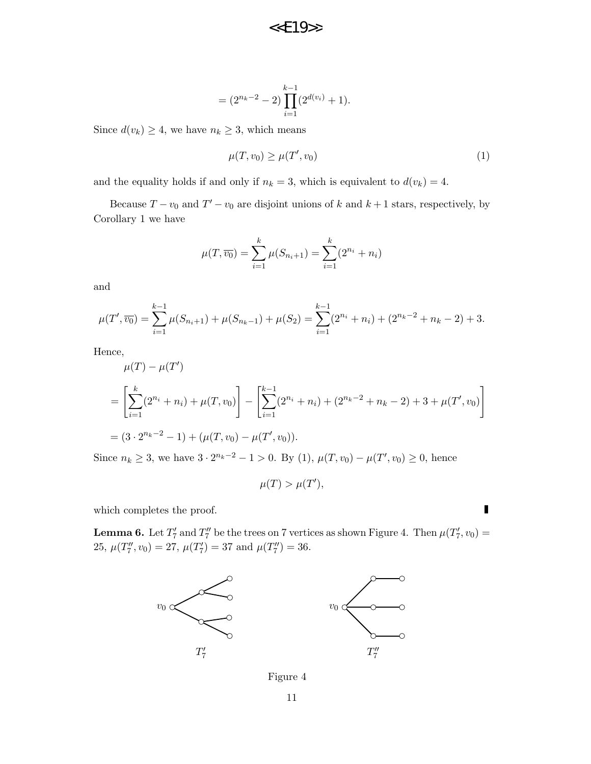$$
= (2^{n_k - 2} - 2) \prod_{i=1}^{k-1} (2^{d(v_i)} + 1).
$$

Since  $d(v_k) \geq 4$ , we have  $n_k \geq 3$ , which means

$$
\mu(T, v_0) \ge \mu(T', v_0) \tag{1}
$$

and the equality holds if and only if  $n_k = 3$ , which is equivalent to  $d(v_k) = 4$ .

Because  $T - v_0$  and  $T' - v_0$  are disjoint unions of k and  $k + 1$  stars, respectively, by Corollary 1 we have

$$
\mu(T, \overline{v_0}) = \sum_{i=1}^{k} \mu(S_{n_i+1}) = \sum_{i=1}^{k} (2^{n_i} + n_i)
$$

and

$$
\mu(T', \overline{v_0}) = \sum_{i=1}^{k-1} \mu(S_{n_i+1}) + \mu(S_{n_k-1}) + \mu(S_2) = \sum_{i=1}^{k-1} (2^{n_i} + n_i) + (2^{n_k-2} + n_k - 2) + 3.
$$

Hence,

$$
\mu(T) - \mu(T')
$$
  
=  $\left[ \sum_{i=1}^{k} (2^{n_i} + n_i) + \mu(T, v_0) \right] - \left[ \sum_{i=1}^{k-1} (2^{n_i} + n_i) + (2^{n_k - 2} + n_k - 2) + 3 + \mu(T', v_0) \right]$   
=  $(3 \cdot 2^{n_k - 2} - 1) + (\mu(T, v_0) - \mu(T', v_0)).$ 

Since  $n_k \geq 3$ , we have  $3 \cdot 2^{n_k-2} - 1 > 0$ . By (1),  $\mu(T, v_0) - \mu(T', v_0) \geq 0$ , hence

$$
\mu(T) > \mu(T'),
$$

which completes the proof.

**Lemma 6.** Let  $T'_7$  and  $T''_7$  be the trees on 7 vertices as shown Figure 4. Then  $\mu(T'_7, v_0)$  = 25,  $\mu(T''_7, v_0) = 27$ ,  $\mu(T'_7) = 37$  and  $\mu(T''_7) = 36$ .



Figure 4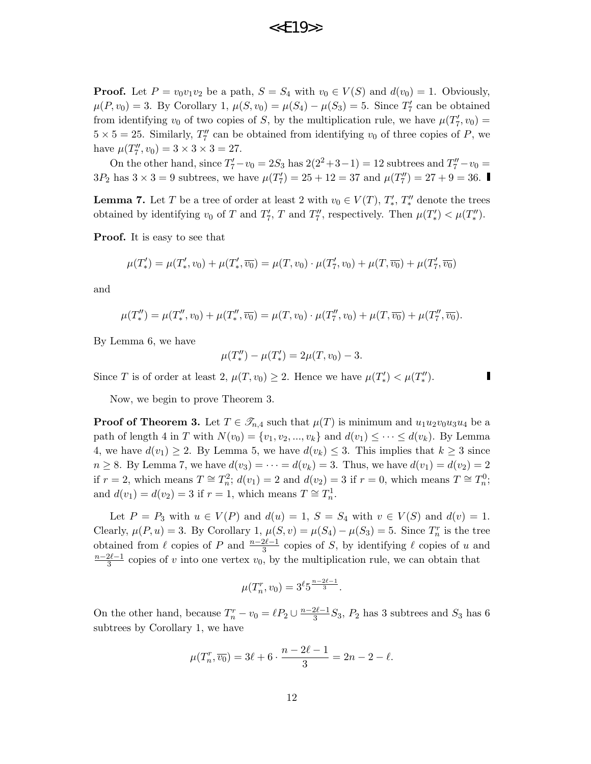**Proof.** Let  $P = v_0v_1v_2$  be a path,  $S = S_4$  with  $v_0 \in V(S)$  and  $d(v_0) = 1$ . Obviously,  $\mu(P, v_0) = 3$ . By Corollary 1,  $\mu(S, v_0) = \mu(S_4) - \mu(S_3) = 5$ . Since  $T'_7$  can be obtained from identifying  $v_0$  of two copies of S, by the multiplication rule, we have  $\mu(T'_7, v_0) =$  $5 \times 5 = 25$ . Similarly,  $T''_7$  can be obtained from identifying  $v_0$  of three copies of P, we have  $\mu(T''_7, v_0) = 3 \times 3 \times 3 = 27$ .

On the other hand, since  $T_7' - v_0 = 2S_3$  has  $2(2^2 + 3 - 1) = 12$  subtrees and  $T_7'' - v_0 = 12$  $3P_2$  has  $3 \times 3 = 9$  subtrees, we have  $\mu(T_7') = 25 + 12 = 37$  and  $\mu(T_7'') = 27 + 9 = 36$ .

**Lemma 7.** Let T be a tree of order at least 2 with  $v_0 \in V(T)$ ,  $T'_*, T''_*$  denote the trees obtained by identifying  $v_0$  of T and  $T'_7$ , T and  $T''_7$ , respectively. Then  $\mu(T'_*) < \mu(T''_*)$ .

Proof. It is easy to see that

$$
\mu(T'_*) = \mu(T'_*, v_0) + \mu(T'_*, \overline{v_0}) = \mu(T, v_0) \cdot \mu(T'_7, v_0) + \mu(T, \overline{v_0}) + \mu(T'_7, \overline{v_0})
$$

and

$$
\mu(T''_*) = \mu(T''_*, v_0) + \mu(T''_*, \overline{v_0}) = \mu(T, v_0) \cdot \mu(T''_7, v_0) + \mu(T, \overline{v_0}) + \mu(T''_7, \overline{v_0}).
$$

By Lemma 6, we have

$$
\mu(T''_*) - \mu(T'_*) = 2\mu(T, v_0) - 3.
$$

Since T is of order at least 2,  $\mu(T, v_0) \geq 2$ . Hence we have  $\mu(T'_*) < \mu(T''_*)$ .

Now, we begin to prove Theorem 3.

**Proof of Theorem 3.** Let  $T \in \mathcal{T}_{n,4}$  such that  $\mu(T)$  is minimum and  $u_1u_2v_0u_3u_4$  be a path of length 4 in T with  $N(v_0) = \{v_1, v_2, ..., v_k\}$  and  $d(v_1) \leq \cdots \leq d(v_k)$ . By Lemma 4, we have  $d(v_1) \geq 2$ . By Lemma 5, we have  $d(v_k) \leq 3$ . This implies that  $k \geq 3$  since  $n \geq 8$ . By Lemma 7, we have  $d(v_3) = \cdots = d(v_k) = 3$ . Thus, we have  $d(v_1) = d(v_2) = 2$ if  $r = 2$ , which means  $T \cong T_n^2$ ;  $d(v_1) = 2$  and  $d(v_2) = 3$  if  $r = 0$ , which means  $T \cong T_n^0$ ; and  $d(v_1) = d(v_2) = 3$  if  $r = 1$ , which means  $T \cong T_n^1$ .

Let  $P = P_3$  with  $u \in V(P)$  and  $d(u) = 1$ ,  $S = S_4$  with  $v \in V(S)$  and  $d(v) = 1$ . Clearly,  $\mu(P, u) = 3$ . By Corollary 1,  $\mu(S, v) = \mu(S_4) - \mu(S_3) = 5$ . Since  $T_n^r$  is the tree obtained from  $\ell$  copies of P and  $\frac{n-2\ell-1}{3}$  copies of S, by identifying  $\ell$  copies of u and  $n-2\ell-1$  $\frac{2\ell-1}{3}$  copies of v into one vertex  $v_0$ , by the multiplication rule, we can obtain that

$$
\mu(T_n^r, v_0) = 3^{\ell} 5^{\frac{n-2\ell-1}{3}}.
$$

On the other hand, because  $T_n^r - v_0 = \ell P_2 \cup \frac{n-2\ell-1}{3}$  $\frac{2\ell-1}{3}S_3$ ,  $P_2$  has 3 subtrees and  $S_3$  has 6 subtrees by Corollary 1, we have

$$
\mu(T_n^r, \overline{v_0}) = 3\ell + 6 \cdot \frac{n - 2\ell - 1}{3} = 2n - 2 - \ell.
$$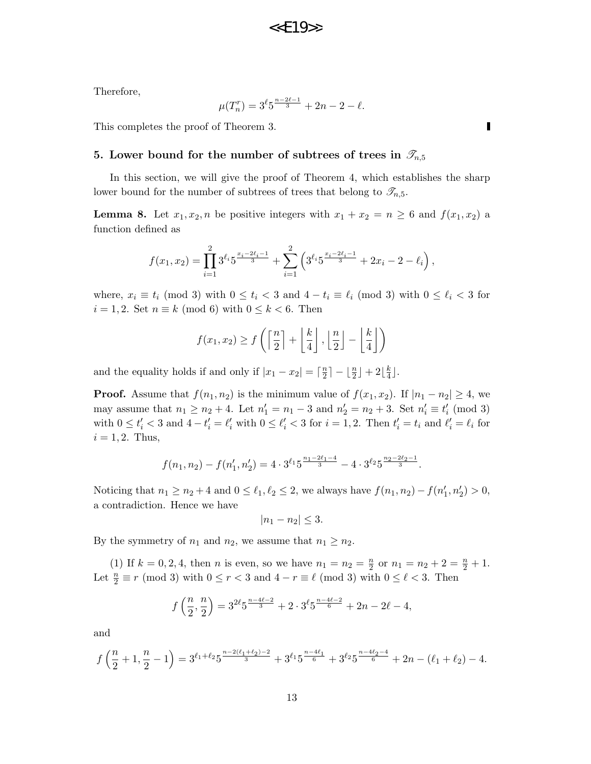# $<<$  $F19$ >>

Therefore,

$$
\mu(T_n^r) = 3^{\ell} 5^{\frac{n-2\ell-1}{3}} + 2n - 2 - \ell.
$$

This completes the proof of Theorem 3.

#### 5. Lower bound for the number of subtrees of trees in  $\mathcal{T}_{n,5}$

In this section, we will give the proof of Theorem 4, which establishes the sharp lower bound for the number of subtrees of trees that belong to  $\mathscr{T}_{n,5}$ .

**Lemma 8.** Let  $x_1, x_2, n$  be positive integers with  $x_1 + x_2 = n \geq 6$  and  $f(x_1, x_2)$  a function defined as

$$
f(x_1,x_2)=\prod_{i=1}^2 3^{\ell_i} 5^{\frac{x_i-2\ell_i-1}{3}}+\sum_{i=1}^2 \left(3^{\ell_i} 5^{\frac{x_i-2\ell_i-1}{3}}+2x_i-2-\ell_i\right),
$$

where,  $x_i \equiv t_i \pmod{3}$  with  $0 \le t_i < 3$  and  $4 - t_i \equiv \ell_i \pmod{3}$  with  $0 \le \ell_i < 3$  for  $i = 1, 2$ . Set  $n \equiv k \pmod{6}$  with  $0 \leq k < 6$ . Then

$$
f(x_1, x_2) \ge f\left(\left\lceil \frac{n}{2} \right\rceil + \left\lfloor \frac{k}{4} \right\rfloor, \left\lfloor \frac{n}{2} \right\rfloor - \left\lfloor \frac{k}{4} \right\rfloor\right)
$$

and the equality holds if and only if  $|x_1 - x_2| = \lceil \frac{n}{2} \rceil$  $\left\lfloor \frac{n}{2} \right\rfloor - \left\lfloor \frac{n}{2} \right\rfloor + 2\left\lfloor \frac{k}{4} \right\rfloor$  $\frac{k}{4}$ .

**Proof.** Assume that  $f(n_1, n_2)$  is the minimum value of  $f(x_1, x_2)$ . If  $|n_1 - n_2| \geq 4$ , we may assume that  $n_1 \ge n_2 + 4$ . Let  $n'_1 = n_1 - 3$  and  $n'_2 = n_2 + 3$ . Set  $n'_i \equiv t'_i \pmod{3}$ with  $0 \leq t'_i < 3$  and  $4 - t'_i = \ell'_i$  with  $0 \leq \ell'_i < 3$  for  $i = 1, 2$ . Then  $t'_i = t_i$  and  $\ell'_i = \ell_i$  for  $i = 1, 2$ . Thus,

$$
f(n_1, n_2) - f(n'_1, n'_2) = 4 \cdot 3^{\ell_1} 5^{\frac{n_1 - 2\ell_1 - 4}{3}} - 4 \cdot 3^{\ell_2} 5^{\frac{n_2 - 2\ell_2 - 1}{3}}.
$$

Noticing that  $n_1 \ge n_2 + 4$  and  $0 \le \ell_1, \ell_2 \le 2$ , we always have  $f(n_1, n_2) - f(n'_1, n'_2) > 0$ , a contradiction. Hence we have

$$
|n_1 - n_2| \leq 3.
$$

By the symmetry of  $n_1$  and  $n_2$ , we assume that  $n_1 \geq n_2$ .

(1) If  $k = 0, 2, 4$ , then *n* is even, so we have  $n_1 = n_2 = \frac{n}{2}$  $\frac{n}{2}$  or  $n_1 = n_2 + 2 = \frac{n}{2} + 1$ . Let  $\frac{n}{2} \equiv r \pmod{3}$  with  $0 \le r < 3$  and  $4 - r \equiv \ell \pmod{3}$  with  $0 \le \ell < 3$ . Then

$$
f\left(\frac{n}{2},\frac{n}{2}\right) = 3^{2\ell}5^{\frac{n-4\ell-2}{3}} + 2 \cdot 3^{\ell}5^{\frac{n-4\ell-2}{6}} + 2n - 2\ell - 4,
$$

and

$$
f\left(\frac{n}{2}+1,\frac{n}{2}-1\right)=3^{\ell_1+\ell_2}5^{\frac{n-2(\ell_1+\ell_2)-2}{3}}+3^{\ell_1}5^{\frac{n-4\ell_1}{6}}+3^{\ell_2}5^{\frac{n-4\ell_2-4}{6}}+2n-(\ell_1+\ell_2)-4.
$$

Г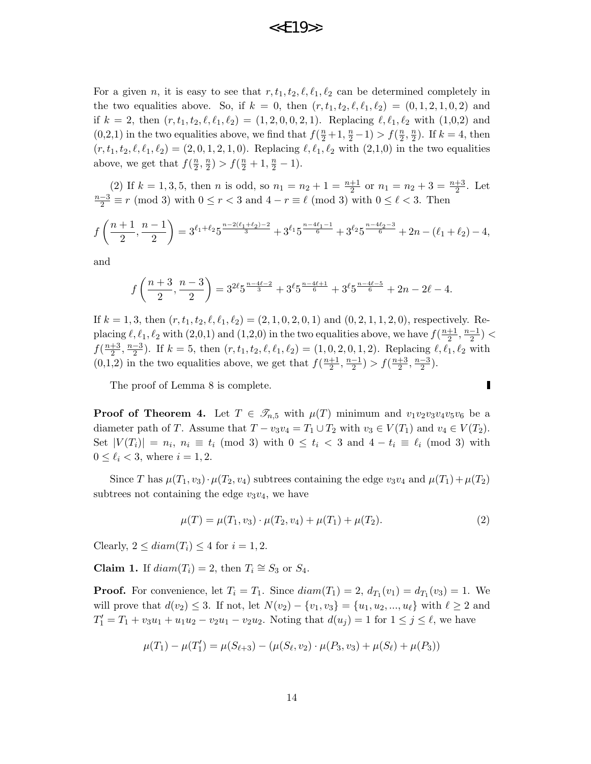For a given n, it is easy to see that  $r, t_1, t_2, \ell, \ell_1, \ell_2$  can be determined completely in the two equalities above. So, if  $k = 0$ , then  $(r, t_1, t_2, \ell, \ell_1, \ell_2) = (0, 1, 2, 1, 0, 2)$  and if  $k = 2$ , then  $(r, t_1, t_2, \ell, \ell_1, \ell_2) = (1, 2, 0, 0, 2, 1)$ . Replacing  $\ell, \ell_1, \ell_2$  with  $(1,0,2)$  and (0,2,1) in the two equalities above, we find that  $f(\frac{n}{2}+1,\frac{n}{2}-1) > f(\frac{n}{2}$  $\frac{n}{2}, \frac{n}{2}$  $\frac{n}{2}$ ). If  $k = 4$ , then  $(r, t_1, t_2, \ell, \ell_1, \ell_2) = (2, 0, 1, 2, 1, 0).$  Replacing  $\ell, \ell_1, \ell_2$  with  $(2,1,0)$  in the two equalities above, we get that  $f(\frac{n}{2})$  $\frac{n}{2}, \frac{n}{2}$  $\frac{n}{2}$ ) >  $f(\frac{n}{2}+1, \frac{n}{2}-1)$ .

(2) If  $k = 1, 3, 5$ , then *n* is odd, so  $n_1 = n_2 + 1 = \frac{n+1}{2}$  or  $n_1 = n_2 + 3 = \frac{n+3}{2}$ . Let  $\frac{n-3}{2} \equiv r \pmod{3}$  with  $0 \le r < 3$  and  $4 - r \equiv \ell \pmod{3}$  with  $0 \le \ell < 3$ . Then

$$
f\left(\frac{n+1}{2},\frac{n-1}{2}\right) = 3^{\ell_1+\ell_2}5^{\frac{n-2(\ell_1+\ell_2)-2}{3}} + 3^{\ell_1}5^{\frac{n-4\ell_1-1}{6}} + 3^{\ell_2}5^{\frac{n-4\ell_2-3}{6}} + 2n - (\ell_1+\ell_2) - 4,
$$

and

$$
f\left(\frac{n+3}{2},\frac{n-3}{2}\right) = 3^{2\ell}5^{\frac{n-4\ell-2}{3}} + 3^{\ell}5^{\frac{n-4\ell+1}{6}} + 3^{\ell}5^{\frac{n-4\ell-5}{6}} + 2n - 2\ell - 4.
$$

If  $k = 1, 3$ , then  $(r, t_1, t_2, \ell, \ell_1, \ell_2) = (2, 1, 0, 2, 0, 1)$  and  $(0, 2, 1, 1, 2, 0)$ , respectively. Replacing  $\ell, \ell_1, \ell_2$  with  $(2,0,1)$  and  $(1,2,0)$  in the two equalities above, we have  $f(\frac{n+1}{2})$  $\frac{+1}{2}, \frac{n-1}{2}$  $\frac{-1}{2}$ ) <  $f\left(\frac{n+3}{2}\right)$  $\frac{+3}{2}, \frac{n-3}{2}$  $\frac{(-3)}{2}$ . If  $k = 5$ , then  $(r, t_1, t_2, \ell, \ell_1, \ell_2) = (1, 0, 2, 0, 1, 2)$ . Replacing  $\ell, \ell_1, \ell_2$  with  $(0,1,2)$  in the two equalities above, we get that  $f(\frac{n+1}{2})$  $\frac{+1}{2}, \frac{n-1}{2}$  $\frac{-1}{2}) > f(\frac{n+3}{2})$  $\frac{+3}{2}, \frac{n-3}{2}$  $\frac{-3}{2}$ ).

The proof of Lemma 8 is complete.

**Proof of Theorem 4.** Let  $T \in \mathscr{T}_{n,5}$  with  $\mu(T)$  minimum and  $v_1v_2v_3v_4v_5v_6$  be a diameter path of T. Assume that  $T - v_3v_4 = T_1 \cup T_2$  with  $v_3 \in V(T_1)$  and  $v_4 \in V(T_2)$ . Set  $|V(T_i)| = n_i$ ,  $n_i \equiv t_i \pmod{3}$  with  $0 \leq t_i < 3$  and  $4 - t_i \equiv \ell_i \pmod{3}$  with  $0 \leq \ell_i < 3$ , where  $i = 1, 2$ .

Since T has  $\mu(T_1, v_3) \cdot \mu(T_2, v_4)$  subtrees containing the edge  $v_3v_4$  and  $\mu(T_1) + \mu(T_2)$ subtrees not containing the edge  $v_3v_4$ , we have

$$
\mu(T) = \mu(T_1, v_3) \cdot \mu(T_2, v_4) + \mu(T_1) + \mu(T_2). \tag{2}
$$

Clearly,  $2 \leq diam(T_i) \leq 4$  for  $i = 1, 2$ .

**Claim 1.** If  $diam(T_i) = 2$ , then  $T_i \cong S_3$  or  $S_4$ .

**Proof.** For convenience, let  $T_i = T_1$ . Since  $diam(T_1) = 2$ ,  $d_{T_1}(v_1) = d_{T_1}(v_3) = 1$ . We will prove that  $d(v_2) \leq 3$ . If not, let  $N(v_2) - \{v_1, v_3\} = \{u_1, u_2, ..., u_\ell\}$  with  $\ell \geq 2$  and  $T_1' = T_1 + v_3u_1 + u_1u_2 - v_2u_1 - v_2u_2$ . Noting that  $d(u_j) = 1$  for  $1 \le j \le \ell$ , we have

$$
\mu(T_1) - \mu(T_1') = \mu(S_{\ell+3}) - (\mu(S_{\ell}, v_2) \cdot \mu(P_3, v_3) + \mu(S_{\ell}) + \mu(P_3))
$$

Π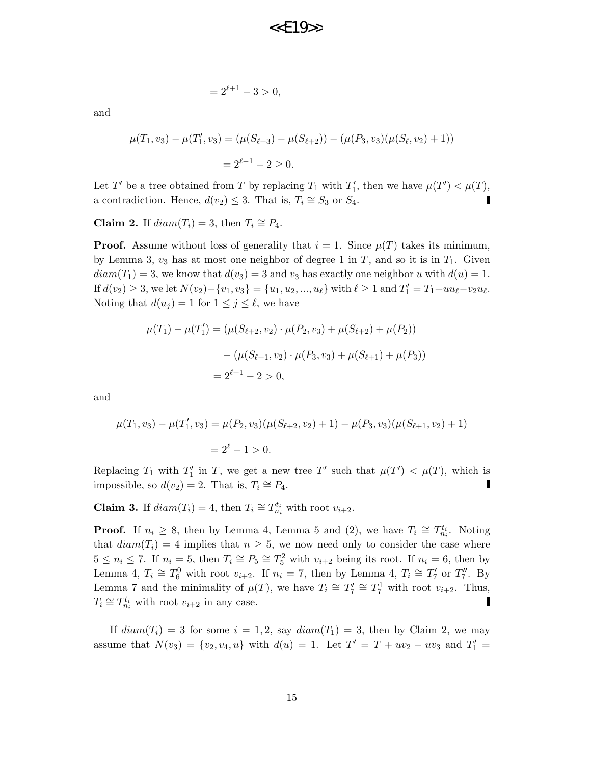$$
=2^{\ell+1}-3>0,
$$

and

$$
\mu(T_1, v_3) - \mu(T'_1, v_3) = (\mu(S_{\ell+3}) - \mu(S_{\ell+2})) - (\mu(P_3, v_3)(\mu(S_{\ell}, v_2) + 1))
$$
  
=  $2^{\ell-1} - 2 \ge 0$ .

Let T' be a tree obtained from T by replacing  $T_1$  with  $T_1'$ , then we have  $\mu(T') < \mu(T)$ , a contradiction. Hence,  $d(v_2) \leq 3$ . That is,  $T_i \cong S_3$  or  $S_4$ .

**Claim 2.** If  $diam(T_i) = 3$ , then  $T_i \cong P_4$ .

**Proof.** Assume without loss of generality that  $i = 1$ . Since  $\mu(T)$  takes its minimum, by Lemma 3,  $v_3$  has at most one neighbor of degree 1 in T, and so it is in  $T_1$ . Given  $diam(T_1) = 3$ , we know that  $d(v_3) = 3$  and  $v_3$  has exactly one neighbor u with  $d(u) = 1$ . If  $d(v_2) \geq 3$ , we let  $N(v_2) - \{v_1, v_3\} = \{u_1, u_2, ..., u_\ell\}$  with  $\ell \geq 1$  and  $T_1' = T_1 + uu_\ell - v_2u_\ell$ . Noting that  $d(u_j) = 1$  for  $1 \leq j \leq \ell$ , we have

$$
\mu(T_1) - \mu(T'_1) = (\mu(S_{\ell+2}, v_2) \cdot \mu(P_2, v_3) + \mu(S_{\ell+2}) + \mu(P_2))
$$

$$
- (\mu(S_{\ell+1}, v_2) \cdot \mu(P_3, v_3) + \mu(S_{\ell+1}) + \mu(P_3))
$$

$$
= 2^{\ell+1} - 2 > 0,
$$

and

$$
\mu(T_1, v_3) - \mu(T_1', v_3) = \mu(P_2, v_3)(\mu(S_{\ell+2}, v_2) + 1) - \mu(P_3, v_3)(\mu(S_{\ell+1}, v_2) + 1)
$$
  
=  $2^{\ell} - 1 > 0$ .

Replacing  $T_1$  with  $T_1'$  in T, we get a new tree T' such that  $\mu(T') < \mu(T)$ , which is impossible, so  $d(v_2) = 2$ . That is,  $T_i \cong P_4$ .

**Claim 3.** If  $diam(T_i) = 4$ , then  $T_i \cong T_{n_i}^{t_i}$  with root  $v_{i+2}$ .

**Proof.** If  $n_i \geq 8$ , then by Lemma 4, Lemma 5 and (2), we have  $T_i \cong T_{n_i}^{t_i}$ . Noting that  $diam(T_i) = 4$  implies that  $n \geq 5$ , we now need only to consider the case where  $5 \leq n_i \leq 7$ . If  $n_i = 5$ , then  $T_i \cong P_5 \cong T_5^2$  with  $v_{i+2}$  being its root. If  $n_i = 6$ , then by Lemma 4,  $T_i \cong T_6^0$  with root  $v_{i+2}$ . If  $n_i = 7$ , then by Lemma 4,  $T_i \cong T_7'$  or  $T_7''$ . By Lemma 7 and the minimality of  $\mu(T)$ , we have  $T_i \cong T_7' \cong T_7^1$  with root  $v_{i+2}$ . Thus,  $T_i \cong T_{n_i}^{t_i}$  with root  $v_{i+2}$  in any case.

If  $diam(T_i) = 3$  for some  $i = 1, 2$ , say  $diam(T_1) = 3$ , then by Claim 2, we may assume that  $N(v_3) = \{v_2, v_4, u\}$  with  $d(u) = 1$ . Let  $T' = T + uv_2 - uv_3$  and  $T'_1 =$